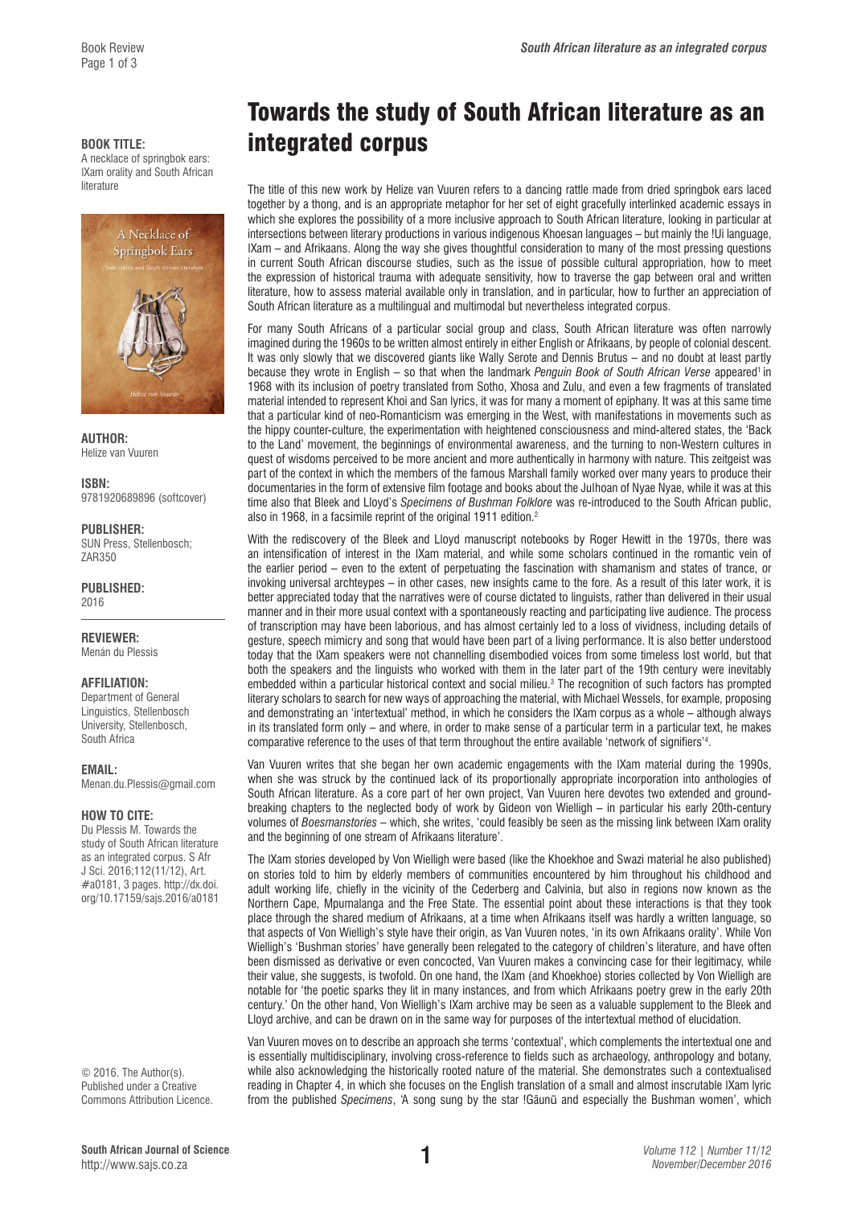ǀXam orality and South African literature



**AUTHOR:**  Helize van Vuuren

**ISBN:**  9781920689896 (softcover)

**PUBLISHER:**  SUN Press, Stellenbosch; ZAR350

**PUBLISHED:**  2016

**REVIEWER:**  Menán du Plessis

#### **AFFILIATION:**

Department of General Linguistics, Stellenbosch University, Stellenbosch, South Africa

#### **EMAIL:**

[Menan.du.Plessis@gmail.com](mailto:Menan.du.Plessis@gmail.com)

### **HOW TO CITE:**

Du Plessis M. Towards the study of South African literature as an integrated corpus. S Afr J Sci. 2016;112(11/12), Art. #a0181, 3 pages. [http://dx.doi.](http://dx.doi.org/10.17159/sajs.2016/a0181) [org/10.17159/sajs.2016/a0181](http://dx.doi.org/10.17159/sajs.2016/a0181)

© 2016. The Author(s). Published under a Creative Commons Attribution Licence.

# Towards the study of South African literature as an **BOOK TITLE: integrated corpus**

The title of this new work by Helize van Vuuren refers to a dancing rattle made from dried springbok ears laced together by a thong, and is an appropriate metaphor for her set of eight gracefully interlinked academic essays in which she explores the possibility of a more inclusive approach to South African literature, looking in particular at intersections between literary productions in various indigenous Khoesan languages – but mainly the !Ui language, ǀXam – and Afrikaans. Along the way she gives thoughtful consideration to many of the most pressing questions in current South African discourse studies, such as the issue of possible cultural appropriation, how to meet the expression of historical trauma with adequate sensitivity, how to traverse the gap between oral and written literature, how to assess material available only in translation, and in particular, how to further an appreciation of South African literature as a multilingual and multimodal but nevertheless integrated corpus.

For many South Africans of a particular social group and class, South African literature was often narrowly imagined during the 1960s to be written almost entirely in either English or Afrikaans, by people of colonial descent. It was only slowly that we discovered giants like Wally Serote and Dennis Brutus – and no doubt at least partly because they wrote in English – so that when the landmark *Penguin Book of South African Verse* appeared<sup>1</sup> in 1968 with its inclusion of poetry translated from Sotho, Xhosa and Zulu, and even a few fragments of translated material intended to represent Khoi and San lyrics, it was for many a moment of epiphany. It was at this same time that a particular kind of neo-Romanticism was emerging in the West, with manifestations in movements such as the hippy counter-culture, the experimentation with heightened consciousness and mind-altered states, the 'Back to the Land' movement, the beginnings of environmental awareness, and the turning to non-Western cultures in quest of wisdoms perceived to be more ancient and more authentically in harmony with nature. This zeitgeist was part of the context in which the members of the famous Marshall family worked over many years to produce their documentaries in the form of extensive film footage and books about the Julhoan of Nyae Nyae, while it was at this time also that Bleek and Lloyd's *Specimens of Bushman Folklore* was re-introduced to the South African public, also in 1968, in a facsimile reprint of the original 1911 edition.<sup>2</sup>

With the rediscovery of the Bleek and Lloyd manuscript notebooks by Roger Hewitt in the 1970s, there was an intensification of interest in the ǀXam material, and while some scholars continued in the romantic vein of the earlier period – even to the extent of perpetuating the fascination with shamanism and states of trance, or invoking universal archteypes – in other cases, new insights came to the fore. As a result of this later work, it is better appreciated today that the narratives were of course dictated to linguists, rather than delivered in their usual manner and in their more usual context with a spontaneously reacting and participating live audience. The process of transcription may have been laborious, and has almost certainly led to a loss of vividness, including details of gesture, speech mimicry and song that would have been part of a living performance. It is also better understood today that the ǀXam speakers were not channelling disembodied voices from some timeless lost world, but that both the speakers and the linguists who worked with them in the later part of the 19th century were inevitably embedded within a particular historical context and social milieu.<sup>3</sup> The recognition of such factors has prompted literary scholars to search for new ways of approaching the material, with Michael Wessels, for example, proposing and demonstrating an 'intertextual' method, in which he considers the IXam corpus as a whole – although always in its translated form only – and where, in order to make sense of a particular term in a particular text, he makes comparative reference to the uses of that term throughout the entire available 'network of signifiers'4 .

Van Vuuren writes that she began her own academic engagements with the IXam material during the 1990s, when she was struck by the continued lack of its proportionally appropriate incorporation into anthologies of South African literature. As a core part of her own project, Van Vuuren here devotes two extended and groundbreaking chapters to the neglected body of work by Gideon von Wielligh – in particular his early 20th-century volumes of *Boesmanstories* – which, she writes, 'could feasibly be seen as the missing link between ǀXam orality and the beginning of one stream of Afrikaans literature'.

The IXam stories developed by Von Wielligh were based (like the Khoekhoe and Swazi material he also published) on stories told to him by elderly members of communities encountered by him throughout his childhood and adult working life, chiefly in the vicinity of the Cederberg and Calvinia, but also in regions now known as the Northern Cape, Mpumalanga and the Free State. The essential point about these interactions is that they took place through the shared medium of Afrikaans, at a time when Afrikaans itself was hardly a written language, so that aspects of Von Wielligh's style have their origin, as Van Vuuren notes, 'in its own Afrikaans orality'. While Von Wielligh's 'Bushman stories' have generally been relegated to the category of children's literature, and have often been dismissed as derivative or even concocted, Van Vuuren makes a convincing case for their legitimacy, while their value, she suggests, is twofold. On one hand, the ǀXam (and Khoekhoe) stories collected by Von Wielligh are notable for 'the poetic sparks they lit in many instances, and from which Afrikaans poetry grew in the early 20th century.' On the other hand, Von Wielligh's ǀXam archive may be seen as a valuable supplement to the Bleek and Lloyd archive, and can be drawn on in the same way for purposes of the intertextual method of elucidation.

Van Vuuren moves on to describe an approach she terms 'contextual', which complements the intertextual one and is essentially multidisciplinary, involving cross-reference to fields such as archaeology, anthropology and botany, while also acknowledging the historically rooted nature of the material. She demonstrates such a contextualised reading in Chapter 4, in which she focuses on the English translation of a small and almost inscrutable IXam lyric from the published *Specimens*, 'A song sung by the star !Gãunũ and especially the Bushman women', which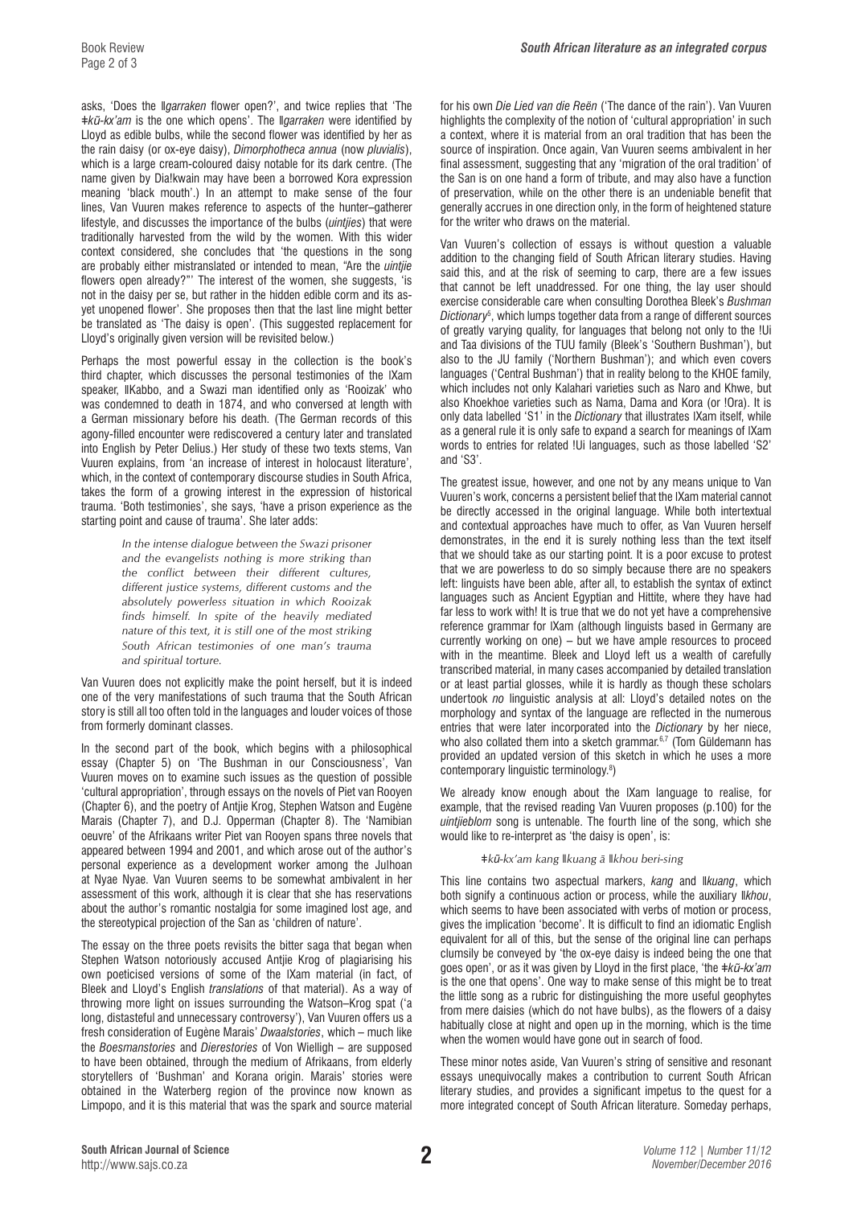asks, 'Does the *ǁgarraken* flower open?', and twice replies that 'The *ǂkũ-kx'am* is the one which opens'. The *ǁgarraken* were identified by Lloyd as edible bulbs, while the second flower was identified by her as the rain daisy (or ox-eye daisy), *Dimorphotheca annua* (now *pluvialis*), which is a large cream-coloured daisy notable for its dark centre. (The name given by Dia!kwain may have been a borrowed Kora expression meaning 'black mouth'.) In an attempt to make sense of the four lines, Van Vuuren makes reference to aspects of the hunter–gatherer lifestyle, and discusses the importance of the bulbs (*uintjies*) that were traditionally harvested from the wild by the women. With this wider context considered, she concludes that 'the questions in the song are probably either mistranslated or intended to mean, "Are the *uintjie* flowers open already?"' The interest of the women, she suggests, 'is not in the daisy per se, but rather in the hidden edible corm and its asyet unopened flower'. She proposes then that the last line might better be translated as 'The daisy is open'. (This suggested replacement for Lloyd's originally given version will be revisited below.)

Perhaps the most powerful essay in the collection is the book's third chapter, which discusses the personal testimonies of the ǀXam speaker, ǁKabbo, and a Swazi man identified only as 'Rooizak' who was condemned to death in 1874, and who conversed at length with a German missionary before his death. (The German records of this agony-filled encounter were rediscovered a century later and translated into English by Peter Delius.) Her study of these two texts stems, Van Vuuren explains, from 'an increase of interest in holocaust literature', which, in the context of contemporary discourse studies in South Africa, takes the form of a growing interest in the expression of historical trauma. 'Both testimonies', she says, 'have a prison experience as the starting point and cause of trauma'. She later adds:

> *In the intense dialogue between the Swazi prisoner and the evangelists nothing is more striking than the conflict between their different cultures, different justice systems, different customs and the absolutely powerless situation in which Rooizak finds himself. In spite of the heavily mediated nature of this text, it is still one of the most striking South African testimonies of one man's trauma and spiritual torture.*

Van Vuuren does not explicitly make the point herself, but it is indeed one of the very manifestations of such trauma that the South African story is still all too often told in the languages and louder voices of those from formerly dominant classes.

In the second part of the book, which begins with a philosophical essay (Chapter 5) on 'The Bushman in our Consciousness', Van Vuuren moves on to examine such issues as the question of possible 'cultural appropriation', through essays on the novels of Piet van Rooyen (Chapter 6), and the poetry of Antjie Krog, Stephen Watson and Eugène Marais (Chapter 7), and D.J. Opperman (Chapter 8). The 'Namibian oeuvre' of the Afrikaans writer Piet van Rooyen spans three novels that appeared between 1994 and 2001, and which arose out of the author's personal experience as a development worker among the Julhoan at Nyae Nyae. Van Vuuren seems to be somewhat ambivalent in her assessment of this work, although it is clear that she has reservations about the author's romantic nostalgia for some imagined lost age, and the stereotypical projection of the San as 'children of nature'.

The essay on the three poets revisits the bitter saga that began when Stephen Watson notoriously accused Antjie Krog of plagiarising his own poeticised versions of some of the ǀXam material (in fact, of Bleek and Lloyd's English *translations* of that material). As a way of throwing more light on issues surrounding the Watson–Krog spat ('a long, distasteful and unnecessary controversy'), Van Vuuren offers us a fresh consideration of Eugène Marais' *Dwaalstories*, which – much like the *Boesmanstories* and *Dierestories* of Von Wielligh – are supposed to have been obtained, through the medium of Afrikaans, from elderly storytellers of 'Bushman' and Korana origin. Marais' stories were obtained in the Waterberg region of the province now known as Limpopo, and it is this material that was the spark and source material

for his own *Die Lied van die Reën* ('The dance of the rain'). Van Vuuren highlights the complexity of the notion of 'cultural appropriation' in such a context, where it is material from an oral tradition that has been the source of inspiration. Once again, Van Vuuren seems ambivalent in her final assessment, suggesting that any 'migration of the oral tradition' of the San is on one hand a form of tribute, and may also have a function of preservation, while on the other there is an undeniable benefit that generally accrues in one direction only, in the form of heightened stature for the writer who draws on the material.

Van Vuuren's collection of essays is without question a valuable addition to the changing field of South African literary studies. Having said this, and at the risk of seeming to carp, there are a few issues that cannot be left unaddressed. For one thing, the lay user should exercise considerable care when consulting Dorothea Bleek's *Bushman Dictionary*<sup>5</sup> , which lumps together data from a range of different sources of greatly varying quality, for languages that belong not only to the !Ui and Taa divisions of the TUU family (Bleek's 'Southern Bushman'), but also to the JU family ('Northern Bushman'); and which even covers languages ('Central Bushman') that in reality belong to the KHOE family, which includes not only Kalahari varieties such as Naro and Khwe, but also Khoekhoe varieties such as Nama, Dama and Kora (or !Ora). It is only data labelled 'S1' in the *Dictionary* that illustrates ǀXam itself, while as a general rule it is only safe to expand a search for meanings of ǀXam words to entries for related !Ui languages, such as those labelled 'S2' and 'S3'.

The greatest issue, however, and one not by any means unique to Van Vuuren's work, concerns a persistent belief that the ǀXam material cannot be directly accessed in the original language. While both intertextual and contextual approaches have much to offer, as Van Vuuren herself demonstrates, in the end it is surely nothing less than the text itself that we should take as our starting point. It is a poor excuse to protest that we are powerless to do so simply because there are no speakers left: linguists have been able, after all, to establish the syntax of extinct languages such as Ancient Egyptian and Hittite, where they have had far less to work with! It is true that we do not yet have a comprehensive reference grammar for ǀXam (although linguists based in Germany are currently working on one) – but we have ample resources to proceed with in the meantime. Bleek and Lloyd left us a wealth of carefully transcribed material, in many cases accompanied by detailed translation or at least partial glosses, while it is hardly as though these scholars undertook *no* linguistic analysis at all: Lloyd's detailed notes on the morphology and syntax of the language are reflected in the numerous entries that were later incorporated into the *Dictionary* by her niece, who also collated them into a sketch grammar.<sup>6,7</sup> (Tom Güldemann has provided an updated version of this sketch in which he uses a more contemporary linguistic terminology.8 )

We already know enough about the IXam language to realise, for example, that the revised reading Van Vuuren proposes (p.100) for the *uintjieblom* song is untenable. The fourth line of the song, which she would like to re-interpret as 'the daisy is open', is:

#### *ǂkũ-kx'am kang ǁkuang ā ǁkhou beri-sing*

This line contains two aspectual markers, *kang* and *ǁkuang*, which both signify a continuous action or process, while the auxiliary *ǁkhou*, which seems to have been associated with verbs of motion or process, gives the implication 'become'. It is difficult to find an idiomatic English equivalent for all of this, but the sense of the original line can perhaps clumsily be conveyed by 'the ox-eye daisy is indeed being the one that goes open', or as it was given by Lloyd in the first place, 'the *ǂkũ-kx'am* is the one that opens'. One way to make sense of this might be to treat the little song as a rubric for distinguishing the more useful geophytes from mere daisies (which do not have bulbs), as the flowers of a daisy habitually close at night and open up in the morning, which is the time when the women would have gone out in search of food.

These minor notes aside, Van Vuuren's string of sensitive and resonant essays unequivocally makes a contribution to current South African literary studies, and provides a significant impetus to the quest for a more integrated concept of South African literature. Someday perhaps,